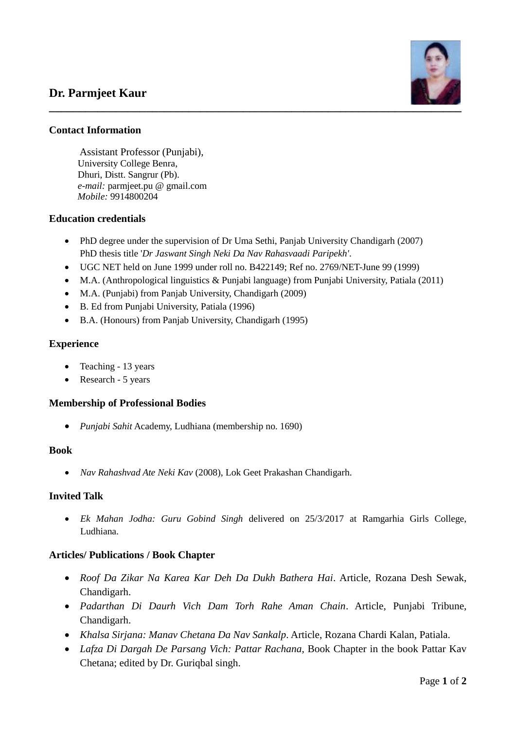# **Dr. Parmjeet Kaur**



# **Contact Information**

Assistant Professor (Punjabi), University College Benra, Dhuri, Distt. Sangrur (Pb). *e-mail:* parmjeet.pu @ gmail.com  *Mobile:* 9914800204

## **Education credentials**

- PhD degree under the supervision of Dr Uma Sethi, Panjab University Chandigarh (2007) PhD thesis title '*Dr Jaswant Singh Neki Da Nav Rahasvaadi Paripekh'*.
- UGC NET held on June 1999 under roll no. B422149; Ref no. 2769/NET-June 99 (1999)
- M.A. (Anthropological linguistics & Punjabi language) from Punjabi University, Patiala (2011)
- M.A. (Punjabi) from Panjab University, Chandigarh (2009)
- B. Ed from Punjabi University, Patiala (1996)
- B.A. (Honours) from Panjab University, Chandigarh (1995)

## **Experience**

- Teaching 13 years
- Research 5 years

#### **Membership of Professional Bodies**

*Punjabi Sahit* Academy, Ludhiana (membership no. 1690)

#### **Book**

*Nav Rahashvad Ate Neki Kav* (2008), Lok Geet Prakashan Chandigarh.

#### **Invited Talk**

 *Ek Mahan Jodha: Guru Gobind Singh* delivered on 25/3/2017 at Ramgarhia Girls College, Ludhiana.

# **Articles/ Publications / Book Chapter**

- *Roof Da Zikar Na Karea Kar Deh Da Dukh Bathera Hai*. Article, Rozana Desh Sewak, Chandigarh.
- *Padarthan Di Daurh Vich Dam Torh Rahe Aman Chain*. Article, Punjabi Tribune, Chandigarh.
- *Khalsa Sirjana: Manav Chetana Da Nav Sankalp*. Article, Rozana Chardi Kalan, Patiala.
- *Lafza Di Dargah De Parsang Vich: Pattar Rachana*, Book Chapter in the book Pattar Kav Chetana; edited by Dr. Guriqbal singh.